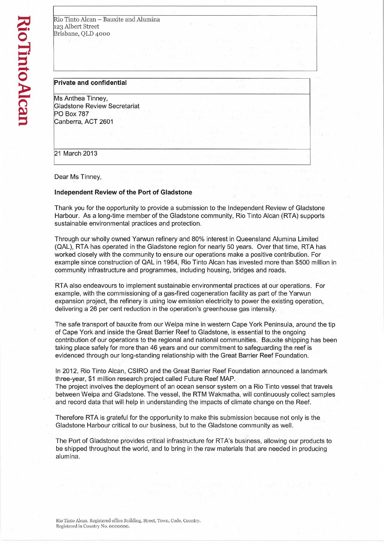| Rio Tinto Alcan - Bauxite and Alumina |  |  |
|---------------------------------------|--|--|
| 123 Albert Street                     |  |  |
| Brisbane, QLD 4000                    |  |  |
|                                       |  |  |

## **Private and confidential**

Ms Anthea Tinney, Gladstone Review Secretariat PO Box 787 Canberra, ACT 2601

21 March 2013

Dear Ms Tinney,

# **Independent Review of the Port of Gladstone**

Thank you for the opportunity to provide a submission to the Independent Review of Gladstone Harbour. As a long-time member of the Gladstone community, Rio Tinto Alcan (RTA) supports sustainable environmental practices and protection.

Through our wholly owned Yarwun refinery and 80% interest in Queensland Alumina Limited (QAL), RTA has operated in the Gladstone region for nearly 50 years. Over that time, RTA has worked closely with the community to ensure our operations make a positive contribution. For example since construction of QAL in 1964, Rio Tinto Alcan has invested more than \$500 million in community infrastructure and programmes, including housing, bridges and roads.

RTA also endeavours to implement sustainable environmental practices at our operations. For example, with the commissioning of a gas-fired cogeneration facility as part of the Yarwun expansion project, the refinery is using low emission electricity to power the existing operation, delivering a 26 per cent reduction in the operation's greenhouse gas intensity.

The safe transport of bauxite from our Weipa mine in western Cape York Peninsula, around the tip of Cape York and inside the Great Barrier Reef to Gladstone, is essential to the ongoing contribution of our operations to the regional and national communities. Bauxite shipping has been taking place safely for more than 46 years and our commitment to safeguarding the reef is evidenced through our long-standing relationship with the Great Barrier Reef Foundation.

In 2012, Rio Tinto Alcan, CSIRO and the Great Barrier Reef Foundation announced a landmark three-year, \$1 million research project called Future Reef MAP.

The project involves the deployment of an ocean sensor system on a Rio Tinto vessel that travels between Weipa and Gladstone. The vessel, the RTM Wakmatha, will continuously collect samples and record data that will help in understanding the impacts of climate change on the Reef.

Therefore RTA is grateful for the opportunity to make this submission because not only is the Gladstone Harbour critical to our business, but to the Gladstone community as well.

The Port of Gladstone provides critical infrastructure for RTA's business, allowing our products to be shipped throughout the world, and to bring in the raw materials that are needed in producing alumina.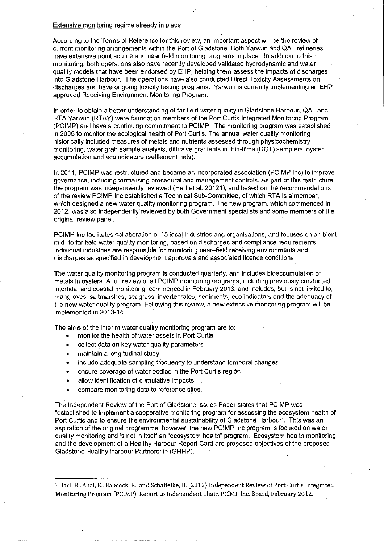#### Extensive monitoring regime already in place

According to the Terms of Reference for this review, an important aspect will be the review of current monitoring arrangements within the Port of Gladstone. Both Yarwun and QAL refineries have extensive point source and near field monitoring programs in place. In addition to this monitoring, both operations also have recently developed validated hydrodynamic and water quality models that have been endorsed by EHP, helping them assess the impacts of discharges into Gladstone Harbour. The operations have also conducted Direct Toxicity Assessments on discharges and have ongoing toxicity testing programs. Yarwun is currently implementing an EHP approved Receiving Environment Monitoring Program.

In order to obtain a better understanding of far field water quality in Gladstone Harbour, QAL and RTA Yarwun (RTAY) were foundation members of the Port Curtis Integrated Monitoring Program (PCIMP) and have a continuing commitment to PCIMP. The monitoring program was established in 2005 to monitor the ecological health of Port Curtis. The annual water quality monitoring historically included measures of metals and nutrients assessed through physicochemistry monitoring, water grab sample analysis, diffusive gradients in thin-films (DGT) samplers, oyster accumulation and ecoindicators (settlement nets).

In 2011, PCIMP was restructured and became an incorporated association (PCIMP Inc) to improve governance, including formalising procedural and management controls. As part of this restructure the program was independently reviewed (Hart et al. 20121), and based on the recommendations of the review PCIMP Inc established a Technical Sub-Committee, of which RTA is a member, which designed a new water quality monitoring program. The new program, which commenced in 2012, was also independently reviewed by both Government specialists and some members of the original review panel.

PCIMP Inc facilitates collaboration of 15 local industries and organisations, and focuses on ambient mid- to far-field water quality monitoring, based on discharges and compliance requirements. Individual industries are responsible for monitoring near—field receiving environments and discharges as specified in development approvals and associated licence conditions.

The water quality monitoring program is conducted quarterly, and includes bioaccumulation of metals in oysters. A full review of all PCIMP monitoring programs, including previously conducted intertidal and coastal monitoring, commenced in February 2013, and includes, but is not limited to, mangroves, saltmarshes, seagrass, invertebrates, sediments, eco-indicators and the adequacy of the new water quality program. Following this review, a new extensive monitoring program will be implemented in 2013-14.

The aims of the interim water quality monitoring program are to:

- monitor the health of water assets in Port Curtis
- collect data on key water quality parameters
- maintain a longitudinal study
- include adequate sampling frequency to understand temporal changes
- ensure coverage of water bodies in the Port Curtis region
- allow identification of cumulative impacts
- compare monitoring data to reference sites.

The Independent Review of the Port of Gladstone Issues Paper states that PCIMP was "established to implement a cooperative monitoring program for assessing the ecosystem health of Port Curtis and to ensure the environmental sustainability of Gladstone Harbour". This was an aspiration of the original programme, however, the new PCIMP Inc program is focused on water quality monitoring and is not in itself an "ecosystem health" program. Ecosystem health monitoring and the development of a Healthy Harbour Report Card are proposed objectives of the proposed Gladstone Healthy Harbour Partnership (GHHP).

<sup>1</sup>Hart, B., Abal, E., Babcock, R., and Schaffelke, B. (2012) Independent Review of Port Curtis Integrated Monitoring Program (PCIMP). Report to Independent Chair, PCIMP Inc. Board, February 2012.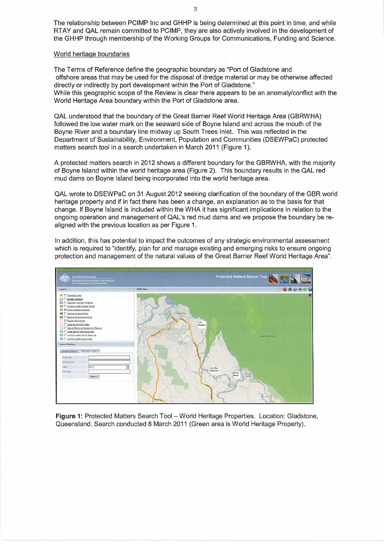The relationship between PCIMP Inc and GHHP is being determined at this point in time, and while RTAY and QAL remain committed to PCIMP, they are also actively involved in the development of the GHHP through membership of the Working Groups for Communications, Funding and Science.

## World heritage boundaries

The Terms of Reference define the geographic boundary as "Port of Gladstone and offshore areas that may be used for the disposal of dredge material or may be otherwise affected directly or indirectly by port development within the Port of Gladstone."

While this geographic scope of the Review is clear there appears to be an anomaly/conflict with the World Heritage Area boundary within the Port of Gladstone area.

QAL understood that the boundary of the Great Barrier Reef World Heritage Area (GBRWHA) followed the low water mark on the seaward side of Boyne Island and across the mouth of the Boyne River and a boundary line midway up South Trees Inlet. This was reflected in the Department of Sustainability, Environment, Population and Communities (DSEWPaC) protected matters search tool in a search undertaken in March 2011 (Figure 1).

A protected matters search in 2012 shows a different boundary for the GBRWHA, with the majority of Boyne Island within the world heritage area (Figure 2). This boundary results in the QAL red mud dams on Boyne Island being incorporated into the world heritage area.

QAL wrote to DSEWPaC on 31 August 2012 seeking clarification of the boundary of the GBR world heritage property and if in fact there has been a change, an explanation as to the basis for that change. If Boyne Island is included within the WHA it has significant implications in relation to the ongoing operation and management of QAL's red mud dams and we propose the boundary be realigned with the previous location as per Figure 1.

In addition, this has potential to impact the outcomes of any strategic environmental assessment which is required to "identify, plan for and manage existing and emerging risks to ensure ongoing protection and management of the natural values of the Great Barrier Reef World Heritage Area".



**Figure 1:** Protected Matters Search Tool — World Heritage Properties. Location: Gladstone, Queensland. Search conducted 8 March 2011 (Green area is World Heritage Property).

3